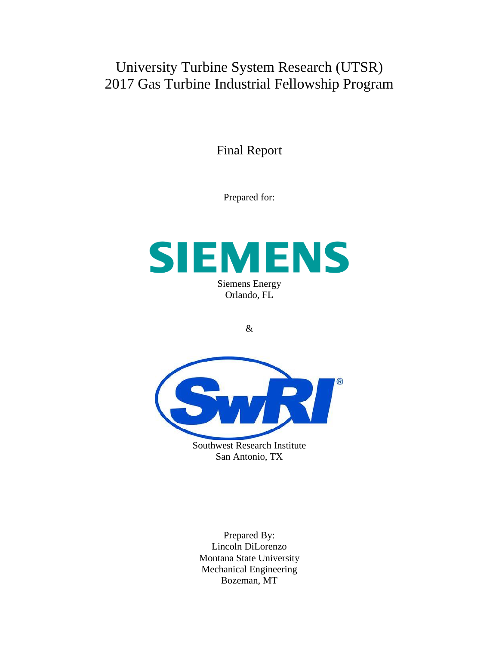University Turbine System Research (UTSR) 2017 Gas Turbine Industrial Fellowship Program

Final Report

Prepared for:



&



San Antonio, TX

Prepared By: Lincoln DiLorenzo Montana State University Mechanical Engineering Bozeman, MT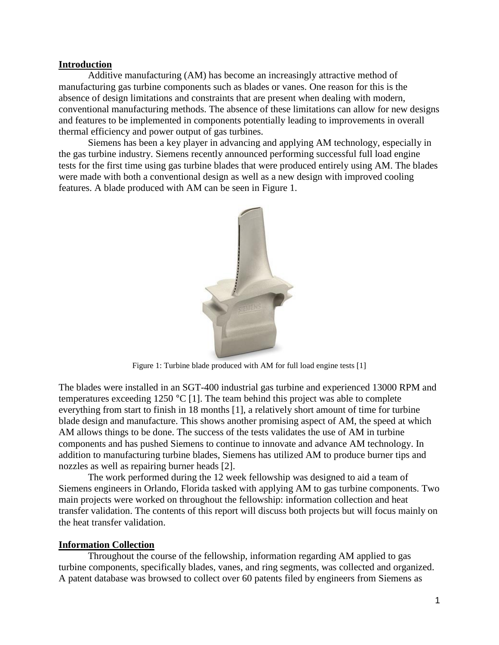## **Introduction**

Additive manufacturing (AM) has become an increasingly attractive method of manufacturing gas turbine components such as blades or vanes. One reason for this is the absence of design limitations and constraints that are present when dealing with modern, conventional manufacturing methods. The absence of these limitations can allow for new designs and features to be implemented in components potentially leading to improvements in overall thermal efficiency and power output of gas turbines.

Siemens has been a key player in advancing and applying AM technology, especially in the gas turbine industry. Siemens recently announced performing successful full load engine tests for the first time using gas turbine blades that were produced entirely using AM. The blades were made with both a conventional design as well as a new design with improved cooling features. A blade produced with AM can be seen in Figure 1.



Figure 1: Turbine blade produced with AM for full load engine tests [1]

The blades were installed in an SGT-400 industrial gas turbine and experienced 13000 RPM and temperatures exceeding 1250 °C [1]. The team behind this project was able to complete everything from start to finish in 18 months [1], a relatively short amount of time for turbine blade design and manufacture. This shows another promising aspect of AM, the speed at which AM allows things to be done. The success of the tests validates the use of AM in turbine components and has pushed Siemens to continue to innovate and advance AM technology. In addition to manufacturing turbine blades, Siemens has utilized AM to produce burner tips and nozzles as well as repairing burner heads [2].

The work performed during the 12 week fellowship was designed to aid a team of Siemens engineers in Orlando, Florida tasked with applying AM to gas turbine components. Two main projects were worked on throughout the fellowship: information collection and heat transfer validation. The contents of this report will discuss both projects but will focus mainly on the heat transfer validation.

## **Information Collection**

Throughout the course of the fellowship, information regarding AM applied to gas turbine components, specifically blades, vanes, and ring segments, was collected and organized. A patent database was browsed to collect over 60 patents filed by engineers from Siemens as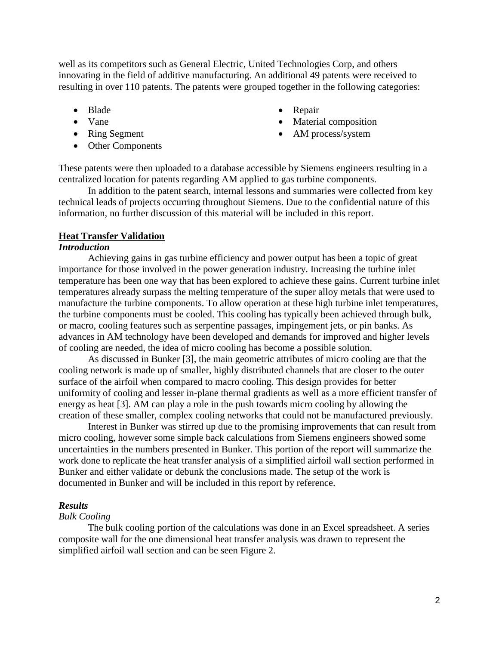well as its competitors such as General Electric, United Technologies Corp, and others innovating in the field of additive manufacturing. An additional 49 patents were received to resulting in over 110 patents. The patents were grouped together in the following categories:

- Blade
- Vane
- Ring Segment
- Other Components
- Repair
- Material composition
- AM process/system

These patents were then uploaded to a database accessible by Siemens engineers resulting in a centralized location for patents regarding AM applied to gas turbine components.

In addition to the patent search, internal lessons and summaries were collected from key technical leads of projects occurring throughout Siemens. Due to the confidential nature of this information, no further discussion of this material will be included in this report.

#### **Heat Transfer Validation**

## *Introduction*

Achieving gains in gas turbine efficiency and power output has been a topic of great importance for those involved in the power generation industry. Increasing the turbine inlet temperature has been one way that has been explored to achieve these gains. Current turbine inlet temperatures already surpass the melting temperature of the super alloy metals that were used to manufacture the turbine components. To allow operation at these high turbine inlet temperatures, the turbine components must be cooled. This cooling has typically been achieved through bulk, or macro, cooling features such as serpentine passages, impingement jets, or pin banks. As advances in AM technology have been developed and demands for improved and higher levels of cooling are needed, the idea of micro cooling has become a possible solution.

As discussed in Bunker [3], the main geometric attributes of micro cooling are that the cooling network is made up of smaller, highly distributed channels that are closer to the outer surface of the airfoil when compared to macro cooling. This design provides for better uniformity of cooling and lesser in-plane thermal gradients as well as a more efficient transfer of energy as heat [3]. AM can play a role in the push towards micro cooling by allowing the creation of these smaller, complex cooling networks that could not be manufactured previously.

Interest in Bunker was stirred up due to the promising improvements that can result from micro cooling, however some simple back calculations from Siemens engineers showed some uncertainties in the numbers presented in Bunker. This portion of the report will summarize the work done to replicate the heat transfer analysis of a simplified airfoil wall section performed in Bunker and either validate or debunk the conclusions made. The setup of the work is documented in Bunker and will be included in this report by reference.

#### *Results*

### *Bulk Cooling*

The bulk cooling portion of the calculations was done in an Excel spreadsheet. A series composite wall for the one dimensional heat transfer analysis was drawn to represent the simplified airfoil wall section and can be seen Figure 2.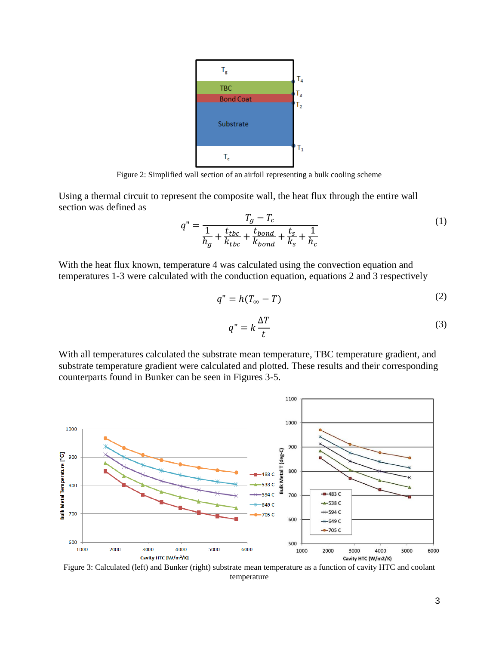

Figure 2: Simplified wall section of an airfoil representing a bulk cooling scheme

Using a thermal circuit to represent the composite wall, the heat flux through the entire wall section was defined as

$$
q'' = \frac{T_g - T_c}{\frac{1}{h_g} + \frac{t_{tbc}}{k_{tbc}} + \frac{t_{bond}}{k_{bond}} + \frac{t_s}{k_s} + \frac{1}{h_c}}
$$
(1)

With the heat flux known, temperature 4 was calculated using the convection equation and temperatures 1-3 were calculated with the conduction equation, equations 2 and 3 respectively

$$
q'' = h(T_{\infty} - T) \tag{2}
$$

$$
q'' = k \frac{\Delta T}{t} \tag{3}
$$

With all temperatures calculated the substrate mean temperature, TBC temperature gradient, and substrate temperature gradient were calculated and plotted. These results and their corresponding counterparts found in Bunker can be seen in Figures 3-5.



Figure 3: Calculated (left) and Bunker (right) substrate mean temperature as a function of cavity HTC and coolant temperature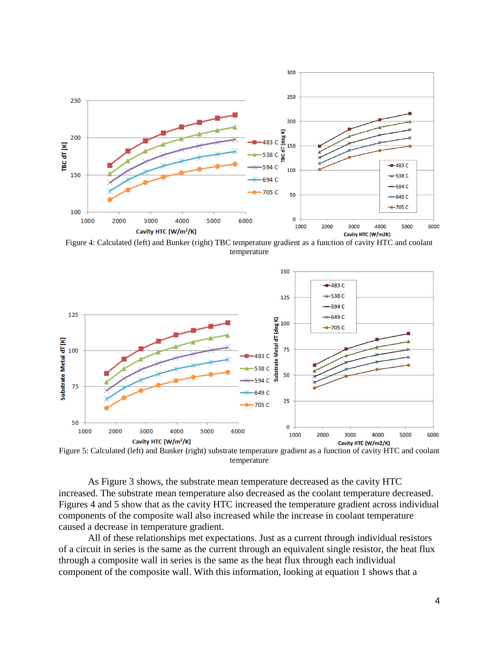

Figure 4: Calculated (left) and Bunker (right) TBC temperature gradient as a function of cavity HTC and coolant temperature



Figure 5: Calculated (left) and Bunker (right) substrate temperature gradient as a function of cavity HTC and coolant temperature

As Figure 3 shows, the substrate mean temperature decreased as the cavity HTC increased. The substrate mean temperature also decreased as the coolant temperature decreased. Figures 4 and 5 show that as the cavity HTC increased the temperature gradient across individual components of the composite wall also increased while the increase in coolant temperature caused a decrease in temperature gradient.

All of these relationships met expectations. Just as a current through individual resistors of a circuit in series is the same as the current through an equivalent single resistor, the heat flux through a composite wall in series is the same as the heat flux through each individual component of the composite wall. With this information, looking at equation 1 shows that a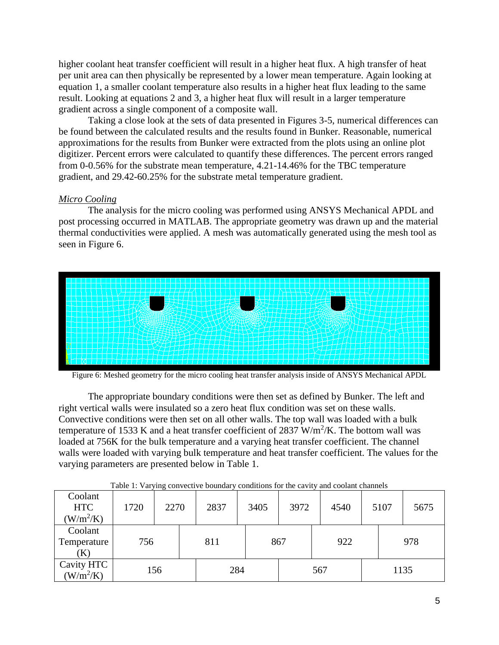higher coolant heat transfer coefficient will result in a higher heat flux. A high transfer of heat per unit area can then physically be represented by a lower mean temperature. Again looking at equation 1, a smaller coolant temperature also results in a higher heat flux leading to the same result. Looking at equations 2 and 3, a higher heat flux will result in a larger temperature gradient across a single component of a composite wall.

Taking a close look at the sets of data presented in Figures 3-5, numerical differences can be found between the calculated results and the results found in Bunker. Reasonable, numerical approximations for the results from Bunker were extracted from the plots using an online plot digitizer. Percent errors were calculated to quantify these differences. The percent errors ranged from 0-0.56% for the substrate mean temperature, 4.21-14.46% for the TBC temperature gradient, and 29.42-60.25% for the substrate metal temperature gradient.

# *Micro Cooling*

The analysis for the micro cooling was performed using ANSYS Mechanical APDL and post processing occurred in MATLAB. The appropriate geometry was drawn up and the material thermal conductivities were applied. A mesh was automatically generated using the mesh tool as seen in Figure 6.



Figure 6: Meshed geometry for the micro cooling heat transfer analysis inside of ANSYS Mechanical APDL

The appropriate boundary conditions were then set as defined by Bunker. The left and right vertical walls were insulated so a zero heat flux condition was set on these walls. Convective conditions were then set on all other walls. The top wall was loaded with a bulk temperature of 1533 K and a heat transfer coefficient of 2837  $W/m^2/K$ . The bottom wall was loaded at 756K for the bulk temperature and a varying heat transfer coefficient. The channel walls were loaded with varying bulk temperature and heat transfer coefficient. The values for the varying parameters are presented below in Table 1.

|                                      |      |      | $1.0012111.001111.001111.001111.001111.001111.001111.001111.001111.001111.001111.001111.001111.001111.001111.001111.001111.001111.001111.001111.001111.001111.001111.001111.001111.001111.001111.001111.001111.001111.001111.$ |      |      | ***** ******** ************ |  |      |      |
|--------------------------------------|------|------|--------------------------------------------------------------------------------------------------------------------------------------------------------------------------------------------------------------------------------|------|------|-----------------------------|--|------|------|
| Coolant<br><b>HTC</b><br>$(W/m^2/K)$ | 1720 | 2270 | 2837                                                                                                                                                                                                                           | 3405 | 3972 | 4540                        |  | 5107 | 5675 |
| Coolant<br>Temperature<br>(K)        | 756  |      | 811                                                                                                                                                                                                                            |      | 867  | 922                         |  |      | 978  |
| Cavity HTC<br>$(W/m^2/K)$            | 156  |      |                                                                                                                                                                                                                                | 284  |      | 567                         |  | 1135 |      |

Table 1: Varying convective boundary conditions for the cavity and coolant channels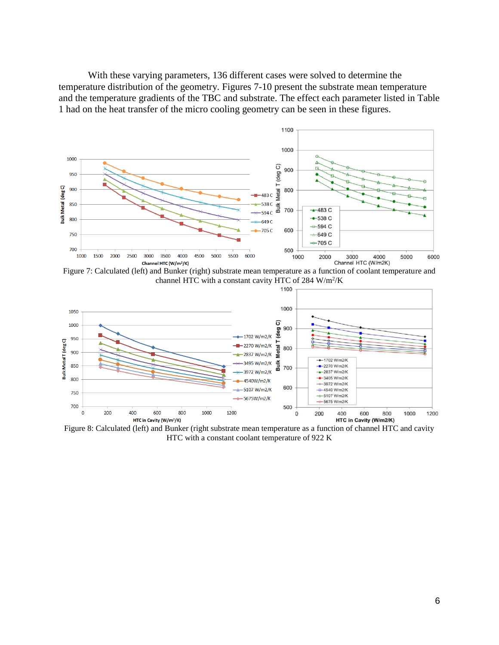With these varying parameters, 136 different cases were solved to determine the temperature distribution of the geometry. Figures 7-10 present the substrate mean temperature and the temperature gradients of the TBC and substrate. The effect each parameter listed in Table 1 had on the heat transfer of the micro cooling geometry can be seen in these figures.



Figure 7: Calculated (left) and Bunker (right) substrate mean temperature as a function of coolant temperature and channel HTC with a constant cavity HTC of  $284 \text{ W/m}^2/\text{K}$ 



Figure 8: Calculated (left) and Bunker (right substrate mean temperature as a function of channel HTC and cavity HTC with a constant coolant temperature of 922 K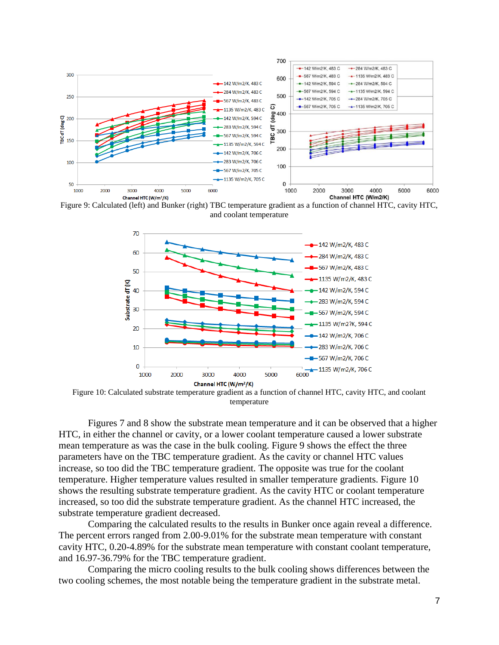

Figure 9: Calculated (left) and Bunker (right) TBC temperature gradient as a function of channel HTC, cavity HTC, and coolant temperature



Figure 10: Calculated substrate temperature gradient as a function of channel HTC, cavity HTC, and coolant temperature

Figures 7 and 8 show the substrate mean temperature and it can be observed that a higher HTC, in either the channel or cavity, or a lower coolant temperature caused a lower substrate mean temperature as was the case in the bulk cooling. Figure 9 shows the effect the three parameters have on the TBC temperature gradient. As the cavity or channel HTC values increase, so too did the TBC temperature gradient. The opposite was true for the coolant temperature. Higher temperature values resulted in smaller temperature gradients. Figure 10 shows the resulting substrate temperature gradient. As the cavity HTC or coolant temperature increased, so too did the substrate temperature gradient. As the channel HTC increased, the substrate temperature gradient decreased.

Comparing the calculated results to the results in Bunker once again reveal a difference. The percent errors ranged from 2.00-9.01% for the substrate mean temperature with constant cavity HTC, 0.20-4.89% for the substrate mean temperature with constant coolant temperature, and 16.97-36.79% for the TBC temperature gradient.

Comparing the micro cooling results to the bulk cooling shows differences between the two cooling schemes, the most notable being the temperature gradient in the substrate metal.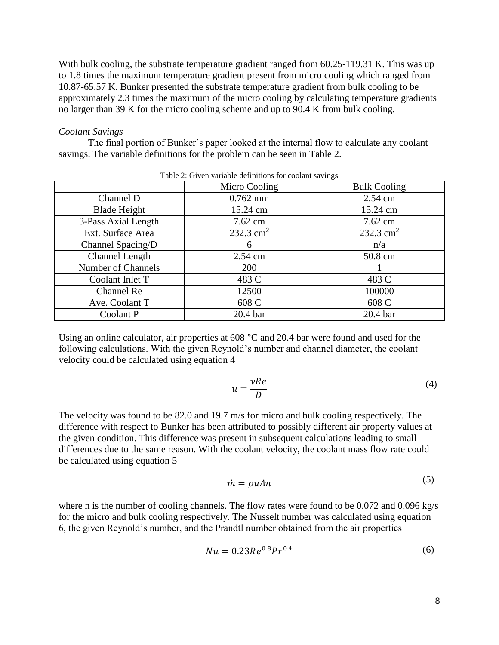With bulk cooling, the substrate temperature gradient ranged from  $60.25$ -119.31 K. This was up to 1.8 times the maximum temperature gradient present from micro cooling which ranged from 10.87-65.57 K. Bunker presented the substrate temperature gradient from bulk cooling to be approximately 2.3 times the maximum of the micro cooling by calculating temperature gradients no larger than 39 K for the micro cooling scheme and up to 90.4 K from bulk cooling.

#### *Coolant Savings*

The final portion of Bunker's paper looked at the internal flow to calculate any coolant savings. The variable definitions for the problem can be seen in Table 2.

| o                         |               |                     |  |  |  |  |  |
|---------------------------|---------------|---------------------|--|--|--|--|--|
|                           | Micro Cooling | <b>Bulk Cooling</b> |  |  |  |  |  |
| Channel D                 | $0.762$ mm    | 2.54 cm             |  |  |  |  |  |
| <b>Blade Height</b>       | 15.24 cm      | 15.24 cm            |  |  |  |  |  |
| 3-Pass Axial Length       | 7.62 cm       | 7.62 cm             |  |  |  |  |  |
| Ext. Surface Area         | 232.3 $cm2$   | 232.3 $cm2$         |  |  |  |  |  |
| Channel Spacing/D         | 6             | n/a                 |  |  |  |  |  |
| <b>Channel Length</b>     | 2.54 cm       | 50.8 cm             |  |  |  |  |  |
| <b>Number of Channels</b> | 200           |                     |  |  |  |  |  |
| Coolant Inlet T           | 483 C         | 483 C               |  |  |  |  |  |
| Channel Re                | 12500         | 100000              |  |  |  |  |  |
| Ave. Coolant T            | 608 C         | 608 C               |  |  |  |  |  |
| Coolant P                 | 20.4 bar      | 20.4 bar            |  |  |  |  |  |

Table 2: Given variable definitions for coolant savings

Using an online calculator, air properties at 608 °C and 20.4 bar were found and used for the following calculations. With the given Reynold's number and channel diameter, the coolant velocity could be calculated using equation 4

$$
u = \frac{vRe}{D} \tag{4}
$$

The velocity was found to be 82.0 and 19.7 m/s for micro and bulk cooling respectively. The difference with respect to Bunker has been attributed to possibly different air property values at the given condition. This difference was present in subsequent calculations leading to small differences due to the same reason. With the coolant velocity, the coolant mass flow rate could be calculated using equation 5

$$
\dot{m} = \rho u A n \tag{5}
$$

where n is the number of cooling channels. The flow rates were found to be 0.072 and 0.096 kg/s for the micro and bulk cooling respectively. The Nusselt number was calculated using equation 6, the given Reynold's number, and the Prandtl number obtained from the air properties

$$
Nu = 0.23Re0.8Pr0.4
$$
 (6)